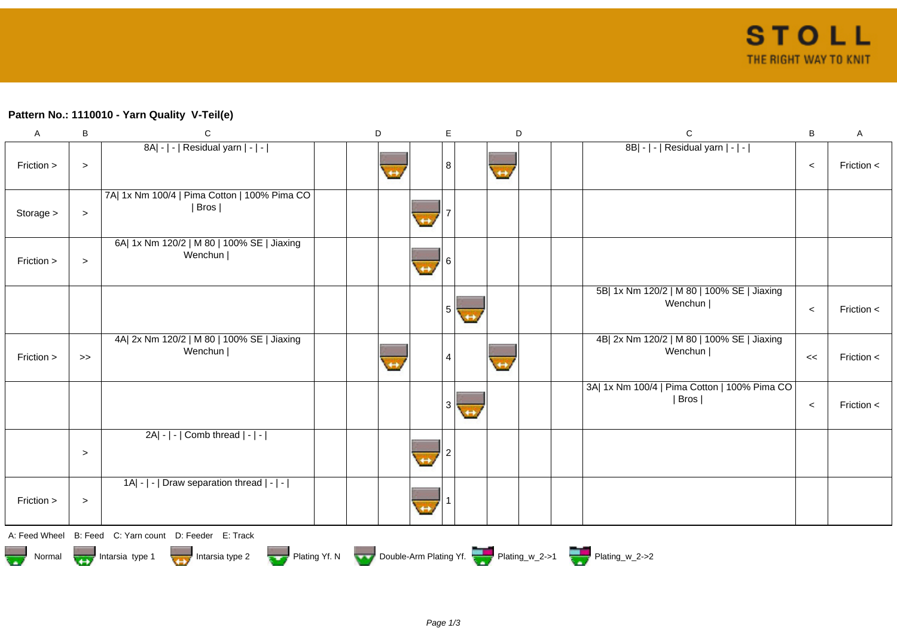## **Pattern No.: 1110010 - Yarn Quality V-Teil(e)**

| A                                              | B      | C                                                      | D                                                                  | E.             | D                 | $\mathbf C$                                              | $\sf B$ | A              |
|------------------------------------------------|--------|--------------------------------------------------------|--------------------------------------------------------------------|----------------|-------------------|----------------------------------------------------------|---------|----------------|
| Friction >                                     | $\,>$  | 8A  -   -   Residual yarn   -   -                      |                                                                    | 8              | $\leftrightarrow$ | 8B  -   -   Residual yarn   -   -                        | $\,<$   | Friction $\lt$ |
| Storage >                                      | $\,>$  | 7A  1x Nm 100/4   Pima Cotton   100% Pima CO<br>  Bros |                                                                    |                |                   |                                                          |         |                |
| Friction >                                     | $\,>$  | 6A  1x Nm 120/2   M 80   100% SE   Jiaxing<br>Wenchun  |                                                                    |                |                   |                                                          |         |                |
|                                                |        |                                                        |                                                                    | 5 <sub>1</sub> |                   | 5B  1x Nm 120/2   M 80   100% SE   Jiaxing<br>Wenchun    | $\,<$   | Friction <     |
| Friction >                                     | $>>$   | 4A  2x Nm 120/2   M 80   100% SE   Jiaxing<br>Wenchun  |                                                                    |                | $\leftrightarrow$ | 4B  2x Nm 120/2   M 80   100% SE   Jiaxing<br>Wenchun    | <<      | Friction <     |
|                                                |        |                                                        |                                                                    | 3              |                   | 3A  1x Nm 100/4   Pima Cotton   100% Pima CO  <br>  Bros | $\,<$   | Friction <     |
|                                                | $\, >$ | 2A  -   -   Comb thread   -   -                        |                                                                    |                |                   |                                                          |         |                |
| Friction >                                     | $\,>$  | $ 1A - $ -   Draw separation thread $ - $ -            |                                                                    |                |                   |                                                          |         |                |
|                                                |        | A: Feed Wheel B: Feed C: Yarn count D: Feeder E: Track |                                                                    |                |                   |                                                          |         |                |
| Normal <b>The United State</b> Intersia type 1 |        | Intarsia type 2                                        | Plating Yf. N Double-Arm Plating Yf. Plating w_2->1 Plating W_2->2 |                |                   |                                                          |         |                |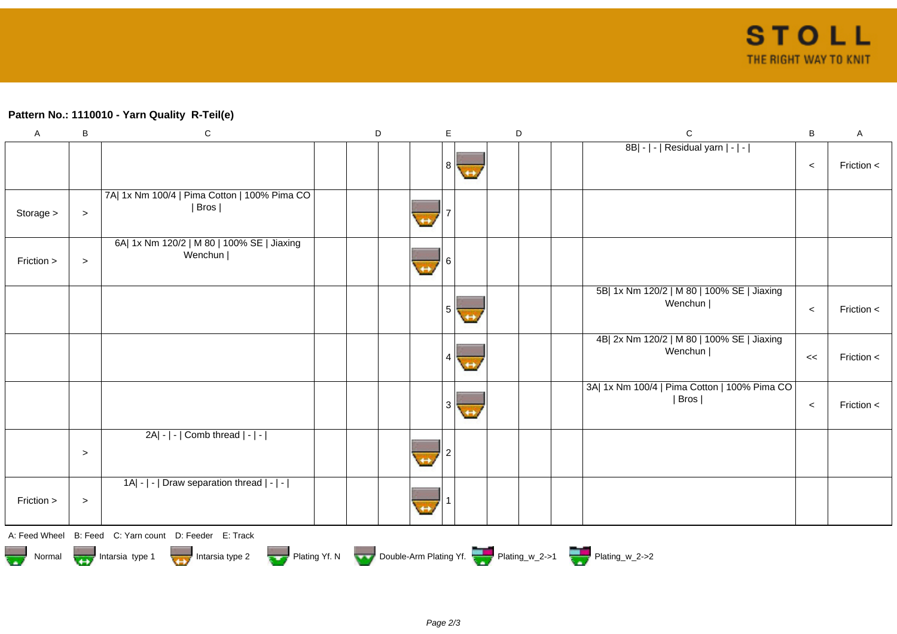## **Pattern No.: 1110010 - Yarn Quality R-Teil(e)**

| $\boldsymbol{\mathsf{A}}$ | B         | ${\bf C}$                                                                        | D |                   | E | D | $\mathbf C$                                            | B       | $\mathsf A$ |
|---------------------------|-----------|----------------------------------------------------------------------------------|---|-------------------|---|---|--------------------------------------------------------|---------|-------------|
|                           |           |                                                                                  |   |                   | 8 |   | 8B  -   -   Residual yarn   -   -                      | $\,<$   | Friction <  |
| Storage >                 | $\, > \,$ | 7A  1x Nm 100/4   Pima Cotton   100% Pima CO<br>  Bros                           |   |                   |   |   |                                                        |         |             |
| Friction >                | $\, >$    | 6A  1x Nm 120/2   M 80   100% SE   Jiaxing<br>Wenchun                            |   | $\leftrightarrow$ |   |   |                                                        |         |             |
|                           |           |                                                                                  |   |                   | 5 |   | 5B  1x Nm 120/2   M 80   100% SE   Jiaxing<br>Wenchun  | $\,<$   | Friction <  |
|                           |           |                                                                                  |   |                   |   |   | 4B  2x Nm 120/2   M 80   100% SE   Jiaxing<br>Wenchun  | $\,<$   | Friction <  |
|                           |           |                                                                                  |   |                   | 3 |   | 3A  1x Nm 100/4   Pima Cotton   100% Pima CO<br>  Bros | $\prec$ | Friction <  |
|                           | $\geq$    | $2A - - $ Comb thread $ - - $                                                    |   |                   |   |   |                                                        |         |             |
| Friction >                | $\, >$    | 1A  -   -   Draw separation thread   -   -                                       |   |                   |   |   |                                                        |         |             |
|                           |           | A: Feed Wheel B: Feed C: Yarn count D: Feeder E: Track                           |   |                   |   |   |                                                        |         |             |
|                           |           | Normal More Intarsia type 1 Intarsia type 2 Plating Yf. N Double-Arm Plating Yf. |   |                   |   |   |                                                        |         |             |